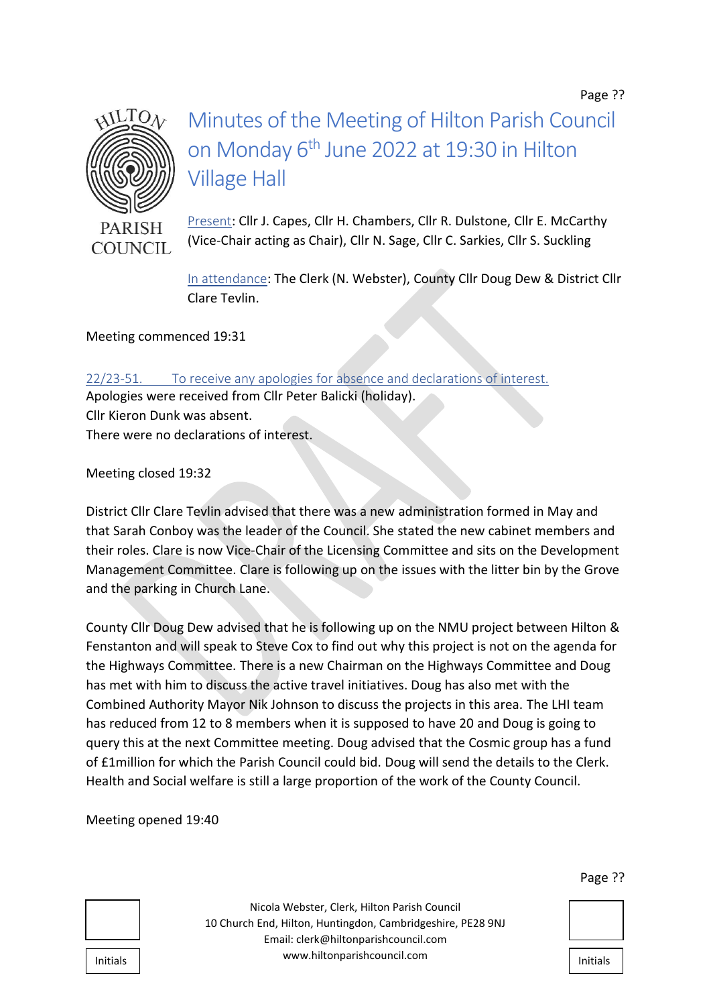Page ??



# Minutes of the Meeting of Hilton Parish Council on Monday 6<sup>th</sup> June 2022 at 19:30 in Hilton Village Hall

Present: Cllr J. Capes, Cllr H. Chambers, Cllr R. Dulstone, Cllr E. McCarthy (Vice-Chair acting as Chair), Cllr N. Sage, Cllr C. Sarkies, Cllr S. Suckling

In attendance: The Clerk (N. Webster), County Cllr Doug Dew & District Cllr Clare Tevlin.

Meeting commenced 19:31

22/23-51. To receive any apologies for absence and declarations of interest. Apologies were received from Cllr Peter Balicki (holiday). Cllr Kieron Dunk was absent. There were no declarations of interest.

Meeting closed 19:32

District Cllr Clare Tevlin advised that there was a new administration formed in May and that Sarah Conboy was the leader of the Council. She stated the new cabinet members and their roles. Clare is now Vice-Chair of the Licensing Committee and sits on the Development Management Committee. Clare is following up on the issues with the litter bin by the Grove and the parking in Church Lane.

County Cllr Doug Dew advised that he is following up on the NMU project between Hilton & Fenstanton and will speak to Steve Cox to find out why this project is not on the agenda for the Highways Committee. There is a new Chairman on the Highways Committee and Doug has met with him to discuss the active travel initiatives. Doug has also met with the Combined Authority Mayor Nik Johnson to discuss the projects in this area. The LHI team has reduced from 12 to 8 members when it is supposed to have 20 and Doug is going to query this at the next Committee meeting. Doug advised that the Cosmic group has a fund of £1million for which the Parish Council could bid. Doug will send the details to the Clerk. Health and Social welfare is still a large proportion of the work of the County Council.

Meeting opened 19:40

Nicola Webster, Clerk, Hilton Parish Council 10 Church End, Hilton, Huntingdon, Cambridgeshire, PE28 9NJ Email: clerk@hiltonparishcouncil.com Initials | www.hiltonparishcouncil.com

#### Page ??

| Initials |  |
|----------|--|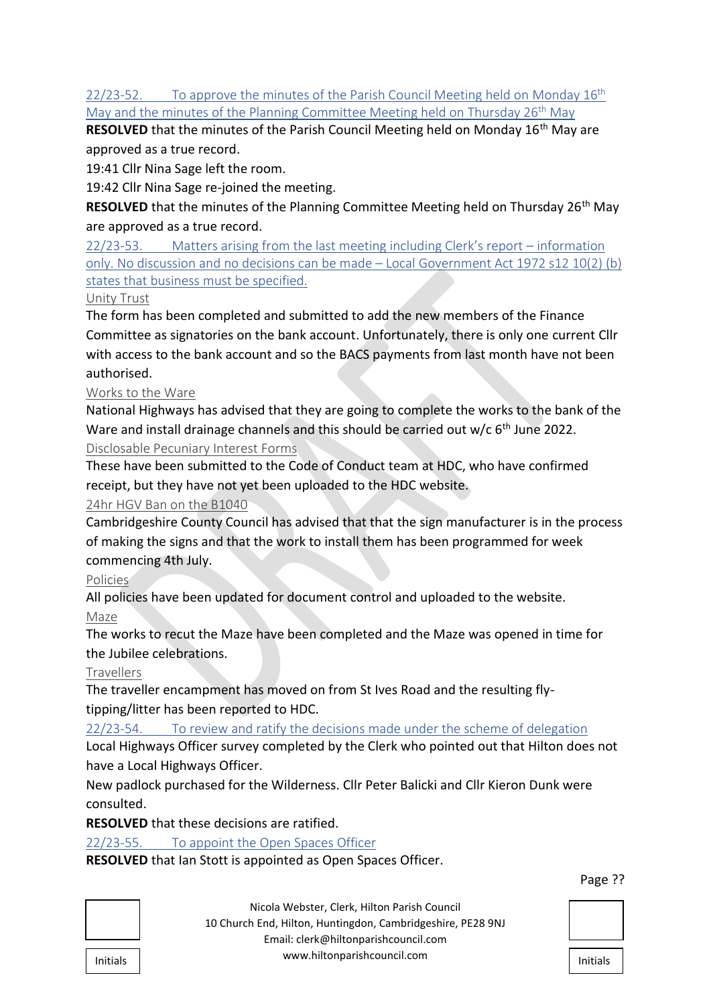## 22/23-52. To approve the minutes of the Parish Council Meeting held on Monday  $16<sup>th</sup>$ May and the minutes of the Planning Committee Meeting held on Thursday 26<sup>th</sup> May

**RESOLVED** that the minutes of the Parish Council Meeting held on Monday 16<sup>th</sup> May are approved as a true record.

19:41 Cllr Nina Sage left the room.

19:42 Cllr Nina Sage re-joined the meeting.

**RESOLVED** that the minutes of the Planning Committee Meeting held on Thursday 26<sup>th</sup> May are approved as a true record.

22/23-53. Matters arising from the last meeting including Clerk's report – information only. No discussion and no decisions can be made – Local Government Act 1972 s12 10(2) (b) states that business must be specified.

Unity Trust

The form has been completed and submitted to add the new members of the Finance Committee as signatories on the bank account. Unfortunately, there is only one current Cllr with access to the bank account and so the BACS payments from last month have not been authorised.

## Works to the Ware

National Highways has advised that they are going to complete the works to the bank of the Ware and install drainage channels and this should be carried out w/c 6<sup>th</sup> June 2022.

Disclosable Pecuniary Interest Forms

These have been submitted to the Code of Conduct team at HDC, who have confirmed receipt, but they have not yet been uploaded to the HDC website.

## 24hr HGV Ban on the B1040

Cambridgeshire County Council has advised that that the sign manufacturer is in the process of making the signs and that the work to install them has been programmed for week commencing 4th July.

## **Policies**

All policies have been updated for document control and uploaded to the website.

#### Maze

The works to recut the Maze have been completed and the Maze was opened in time for the Jubilee celebrations.

#### **Travellers**

The traveller encampment has moved on from St Ives Road and the resulting flytipping/litter has been reported to HDC.

22/23-54. To review and ratify the decisions made under the scheme of delegation

Local Highways Officer survey completed by the Clerk who pointed out that Hilton does not have a Local Highways Officer.

New padlock purchased for the Wilderness. Cllr Peter Balicki and Cllr Kieron Dunk were consulted.

**RESOLVED** that these decisions are ratified.

## 22/23-55. To appoint the Open Spaces Officer

**RESOLVED** that Ian Stott is appointed as Open Spaces Officer.

| age' |  |  |
|------|--|--|
|------|--|--|

Nicola Webster, Clerk, Hilton Parish Council 10 Church End, Hilton, Huntingdon, Cambridgeshire, PE28 9NJ Email: clerk@hiltonparishcouncil.com Initials Initials Initials Initials Initials Initials Initials Initials Initials Initials

|--|--|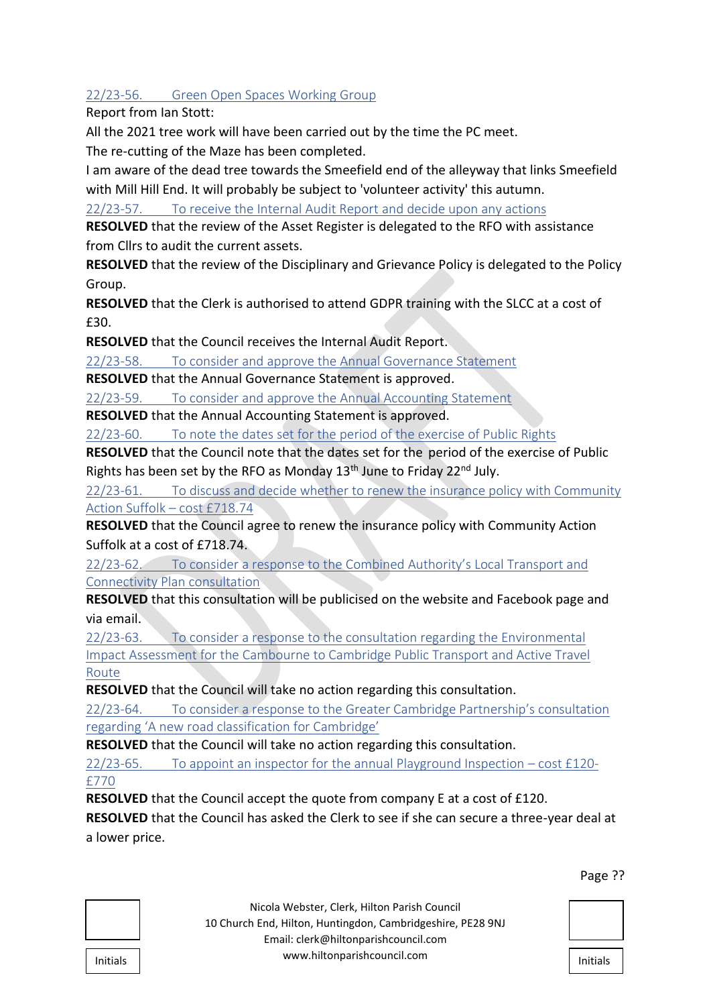22/23-56. Green Open Spaces Working Group

Report from Ian Stott:

All the 2021 tree work will have been carried out by the time the PC meet.

The re-cutting of the Maze has been completed.

I am aware of the dead tree towards the Smeefield end of the alleyway that links Smeefield with Mill Hill End. It will probably be subject to 'volunteer activity' this autumn.

22/23-57. To receive the Internal Audit Report and decide upon any actions

**RESOLVED** that the review of the Asset Register is delegated to the RFO with assistance from Cllrs to audit the current assets.

**RESOLVED** that the review of the Disciplinary and Grievance Policy is delegated to the Policy Group.

**RESOLVED** that the Clerk is authorised to attend GDPR training with the SLCC at a cost of £30.

**RESOLVED** that the Council receives the Internal Audit Report.

22/23-58. To consider and approve the Annual Governance Statement

**RESOLVED** that the Annual Governance Statement is approved.

22/23-59. To consider and approve the Annual Accounting Statement

**RESOLVED** that the Annual Accounting Statement is approved.

22/23-60. To note the dates set for the period of the exercise of Public Rights

**RESOLVED** that the Council note that the dates set for the period of the exercise of Public Rights has been set by the RFO as Monday  $13<sup>th</sup>$  June to Friday  $22<sup>nd</sup>$  July.

22/23-61. To discuss and decide whether to renew the insurance policy with Community Action Suffolk – cost £718.74

**RESOLVED** that the Council agree to renew the insurance policy with Community Action Suffolk at a cost of £718.74.

22/23-62. To consider a response to the Combined Authority's Local Transport and Connectivity Plan consultation

**RESOLVED** that this consultation will be publicised on the website and Facebook page and via email.

22/23-63. To consider a response to the consultation regarding the Environmental Impact Assessment for the Cambourne to Cambridge Public Transport and Active Travel Route

**RESOLVED** that the Council will take no action regarding this consultation.

22/23-64. To consider a response to the Greater Cambridge Partnership's consultation regarding 'A new road classification for Cambridge'

**RESOLVED** that the Council will take no action regarding this consultation.

22/23-65. To appoint an inspector for the annual Playground Inspection – cost £120- £770

**RESOLVED** that the Council accept the quote from company E at a cost of £120.

**RESOLVED** that the Council has asked the Clerk to see if she can secure a three-year deal at a lower price.

| Initiale |  |
|----------|--|

Nicola Webster, Clerk, Hilton Parish Council 10 Church End, Hilton, Huntingdon, Cambridgeshire, PE28 9NJ Email: clerk@hiltonparishcouncil.com Initials | www.hiltonparishcouncil.com

#### Page ??

| Initials |  |
|----------|--|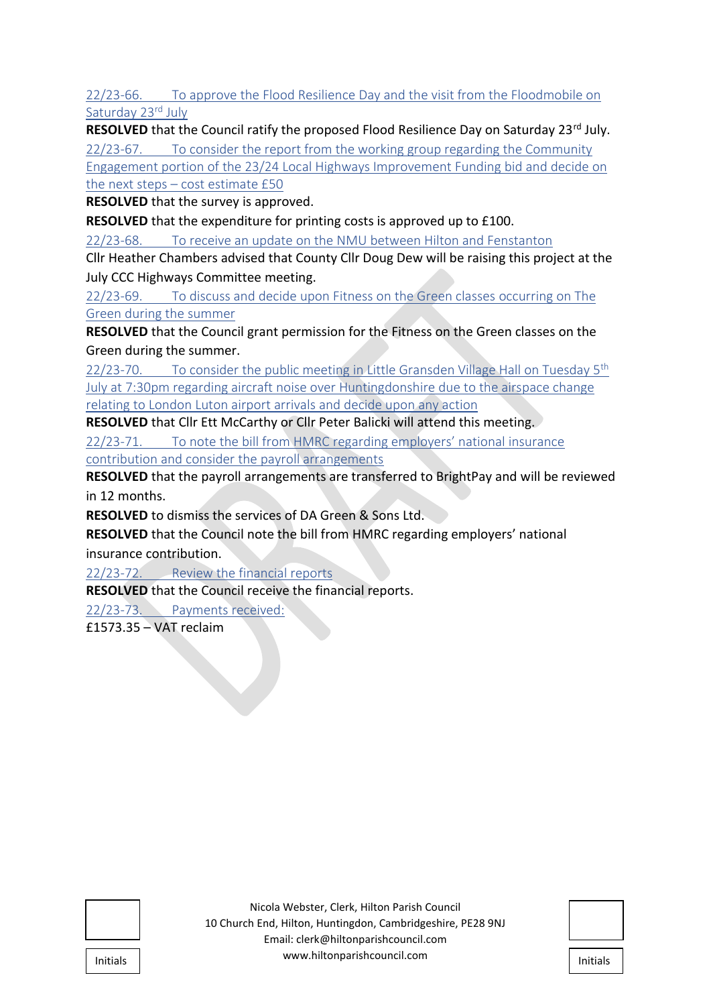22/23-66. To approve the Flood Resilience Day and the visit from the Floodmobile on Saturday 23rd July

**RESOLVED** that the Council ratify the proposed Flood Resilience Day on Saturday 23<sup>rd</sup> July. 22/23-67. To consider the report from the working group regarding the Community

Engagement portion of the 23/24 Local Highways Improvement Funding bid and decide on the next steps – cost estimate £50

**RESOLVED** that the survey is approved.

**RESOLVED** that the expenditure for printing costs is approved up to £100.

22/23-68. To receive an update on the NMU between Hilton and Fenstanton

Cllr Heather Chambers advised that County Cllr Doug Dew will be raising this project at the July CCC Highways Committee meeting.

22/23-69. To discuss and decide upon Fitness on the Green classes occurring on The Green during the summer

**RESOLVED** that the Council grant permission for the Fitness on the Green classes on the Green during the summer.

22/23-70. To consider the public meeting in Little Gransden Village Hall on Tuesday  $5<sup>th</sup>$ July at 7:30pm regarding aircraft noise over Huntingdonshire due to the airspace change relating to London Luton airport arrivals and decide upon any action

**RESOLVED** that Cllr Ett McCarthy or Cllr Peter Balicki will attend this meeting.

22/23-71. To note the bill from HMRC regarding employers' national insurance contribution and consider the payroll arrangements

**RESOLVED** that the payroll arrangements are transferred to BrightPay and will be reviewed in 12 months.

**RESOLVED** to dismiss the services of DA Green & Sons Ltd.

**RESOLVED** that the Council note the bill from HMRC regarding employers' national insurance contribution.

22/23-72. Review the financial reports

**RESOLVED** that the Council receive the financial reports.

22/23-73. Payments received:

£1573.35 – VAT reclaim

| Initials |  |
|----------|--|
|          |  |
|          |  |

| <b>Initials</b> |  |
|-----------------|--|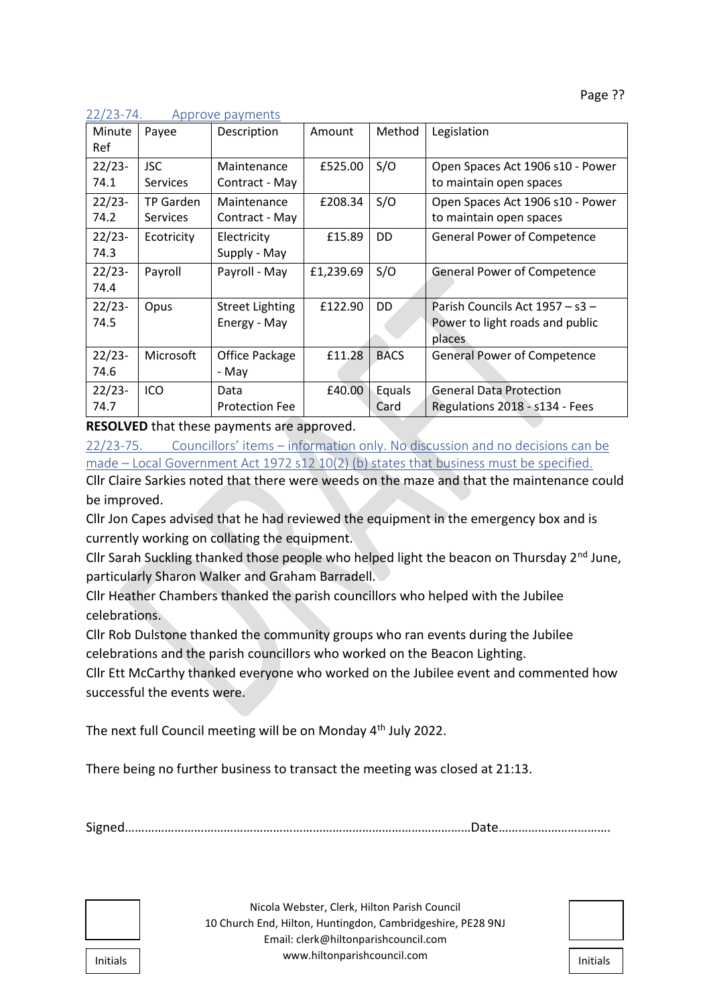| Minute<br>Ref    | Payee                               | Description                            | Amount    | Method         | Legislation                                                                  |
|------------------|-------------------------------------|----------------------------------------|-----------|----------------|------------------------------------------------------------------------------|
| $22/23-$<br>74.1 | <b>JSC</b><br><b>Services</b>       | Maintenance<br>Contract - May          | £525.00   | S/O            | Open Spaces Act 1906 s10 - Power<br>to maintain open spaces                  |
| $22/23-$<br>74.2 | <b>TP Garden</b><br><b>Services</b> | Maintenance<br>Contract - May          | £208.34   | S/O            | Open Spaces Act 1906 s10 - Power<br>to maintain open spaces                  |
| $22/23-$<br>74.3 | Ecotricity                          | Electricity<br>Supply - May            | £15.89    | DD             | <b>General Power of Competence</b>                                           |
| $22/23-$<br>74.4 | Payroll                             | Payroll - May                          | £1,239.69 | S/O            | <b>General Power of Competence</b>                                           |
| $22/23-$<br>74.5 | Opus                                | <b>Street Lighting</b><br>Energy - May | £122.90   | DD             | Parish Councils Act 1957 – s3 –<br>Power to light roads and public<br>places |
| $22/23-$<br>74.6 | Microsoft                           | Office Package<br>- May                | £11.28    | <b>BACS</b>    | <b>General Power of Competence</b>                                           |
| $22/23-$<br>74.7 | ICO                                 | Data<br><b>Protection Fee</b>          | £40.00    | Equals<br>Card | <b>General Data Protection</b><br>Regulations 2018 - s134 - Fees             |

22/23-74. Approve payments

**RESOLVED** that these payments are approved.

22/23-75. Councillors' items – information only. No discussion and no decisions can be made – Local Government Act 1972 s12 10(2) (b) states that business must be specified.

Cllr Claire Sarkies noted that there were weeds on the maze and that the maintenance could be improved.

Cllr Jon Capes advised that he had reviewed the equipment in the emergency box and is currently working on collating the equipment.

Cllr Sarah Suckling thanked those people who helped light the beacon on Thursday 2<sup>nd</sup> June, particularly Sharon Walker and Graham Barradell.

Cllr Heather Chambers thanked the parish councillors who helped with the Jubilee celebrations.

Cllr Rob Dulstone thanked the community groups who ran events during the Jubilee celebrations and the parish councillors who worked on the Beacon Lighting.

Cllr Ett McCarthy thanked everyone who worked on the Jubilee event and commented how successful the events were.

The next full Council meeting will be on Monday 4<sup>th</sup> July 2022.

There being no further business to transact the meeting was closed at 21:13.

Signed……………………………………………………………………………………………Date…………………………….

| Initials |  |
|----------|--|

Nicola Webster, Clerk, Hilton Parish Council 10 Church End, Hilton, Huntingdon, Cambridgeshire, PE28 9NJ Email: clerk@hiltonparishcouncil.com nitials **Indianal Community Community Community** www.hiltonparishcouncil.com

| <b>Initials</b> |  |
|-----------------|--|